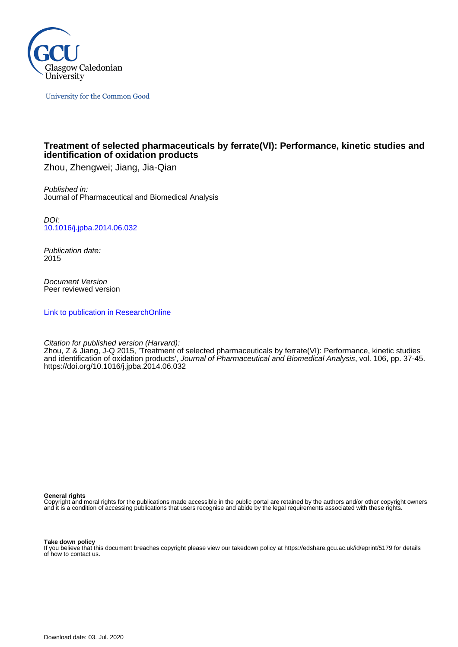

University for the Common Good

# **Treatment of selected pharmaceuticals by ferrate(VI): Performance, kinetic studies and identification of oxidation products**

Zhou, Zhengwei; Jiang, Jia-Qian

Published in: Journal of Pharmaceutical and Biomedical Analysis

DOI: [10.1016/j.jpba.2014.06.032](https://doi.org/10.1016/j.jpba.2014.06.032)

Publication date: 2015

Document Version Peer reviewed version

[Link to publication in ResearchOnline](https://researchonline.gcu.ac.uk/en/publications/e88071dd-f32f-4969-9c35-136ead698f70)

Citation for published version (Harvard):

Zhou, Z & Jiang, J-Q 2015, 'Treatment of selected pharmaceuticals by ferrate(VI): Performance, kinetic studies and identification of oxidation products', Journal of Pharmaceutical and Biomedical Analysis, vol. 106, pp. 37-45. <https://doi.org/10.1016/j.jpba.2014.06.032>

**General rights**

Copyright and moral rights for the publications made accessible in the public portal are retained by the authors and/or other copyright owners and it is a condition of accessing publications that users recognise and abide by the legal requirements associated with these rights.

**Take down policy**

If you believe that this document breaches copyright please view our takedown policy at https://edshare.gcu.ac.uk/id/eprint/5179 for details of how to contact us.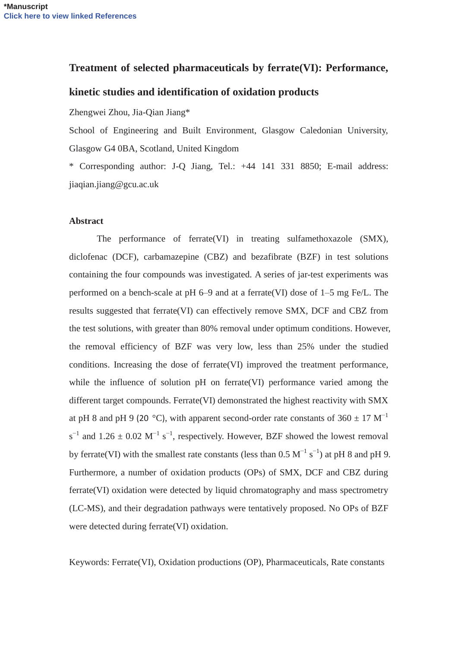# **Treatment of selected pharmaceuticals by ferrate(VI): Performance,**

# **kinetic studies and identification of oxidation products**

Zhengwei Zhou, Jia-Qian Jiang\*

School of Engineering and Built Environment, Glasgow Caledonian University, Glasgow G4 0BA, Scotland, United Kingdom

\* Corresponding author: J-Q Jiang, Tel.: +44 141 331 8850; E-mail address: jiaqian.jiang@gcu.ac.uk

#### **Abstract**

The performance of ferrate(VI) in treating sulfamethoxazole (SMX), diclofenac (DCF), carbamazepine (CBZ) and bezafibrate (BZF) in test solutions containing the four compounds was investigated. A series of jar-test experiments was performed on a bench-scale at pH 6–9 and at a ferrate(VI) dose of 1–5 mg Fe/L. The results suggested that ferrate(VI) can effectively remove SMX, DCF and CBZ from the test solutions, with greater than 80% removal under optimum conditions. However, the removal efficiency of BZF was very low, less than 25% under the studied conditions. Increasing the dose of ferrate(VI) improved the treatment performance, while the influence of solution pH on ferrate(VI) performance varied among the different target compounds. Ferrate(VI) demonstrated the highest reactivity with SMX at pH 8 and pH 9 (20 °C), with apparent second-order rate constants of  $360 \pm 17 \text{ M}^{-1}$  $s^{-1}$  and 1.26  $\pm$  0.02 M<sup>-1</sup> s<sup>-1</sup>, respectively. However, BZF showed the lowest removal by ferrate(VI) with the smallest rate constants (less than  $0.5 \text{ M}^{-1} \text{ s}^{-1}$ ) at pH 8 and pH 9. Furthermore, a number of oxidation products (OPs) of SMX, DCF and CBZ during ferrate(VI) oxidation were detected by liquid chromatography and mass spectrometry (LC-MS), and their degradation pathways were tentatively proposed. No OPs of BZF were detected during ferrate(VI) oxidation.

Keywords: Ferrate(VI), Oxidation productions (OP), Pharmaceuticals, Rate constants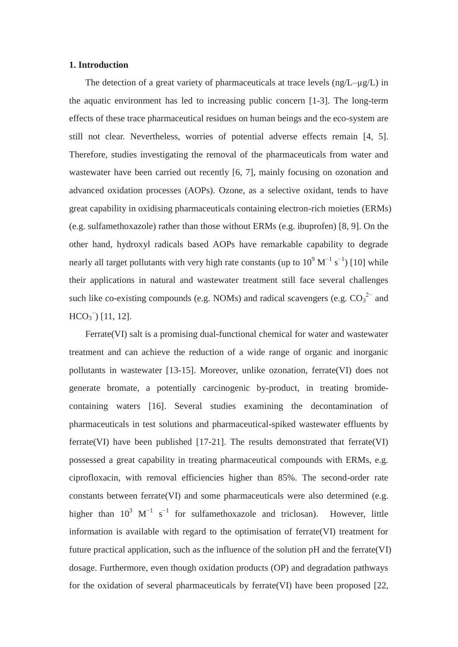## **1. Introduction**

The detection of a great variety of pharmaceuticals at trace levels  $(ng/L-\mu g/L)$  in the aquatic environment has led to increasing public concern [1-3]. The long-term effects of these trace pharmaceutical residues on human beings and the eco-system are still not clear. Nevertheless, worries of potential adverse effects remain [4, 5]. Therefore, studies investigating the removal of the pharmaceuticals from water and wastewater have been carried out recently [6, 7], mainly focusing on ozonation and advanced oxidation processes (AOPs). Ozone, as a selective oxidant, tends to have great capability in oxidising pharmaceuticals containing electron-rich moieties (ERMs) (e.g. sulfamethoxazole) rather than those without ERMs (e.g. ibuprofen) [8, 9]. On the other hand, hydroxyl radicals based AOPs have remarkable capability to degrade nearly all target pollutants with very high rate constants (up to  $10^9 \text{ M}^{-1} \text{ s}^{-1}$ ) [10] while their applications in natural and wastewater treatment still face several challenges such like co-existing compounds (e.g. NOMs) and radical scavengers (e.g.  $CO_3^2$  and  $HCO<sub>3</sub><sup>-</sup>$  [11, 12].

Ferrate(VI) salt is a promising dual-functional chemical for water and wastewater treatment and can achieve the reduction of a wide range of organic and inorganic pollutants in wastewater [13-15]. Moreover, unlike ozonation, ferrate(VI) does not generate bromate, a potentially carcinogenic by-product, in treating bromidecontaining waters [16]. Several studies examining the decontamination of pharmaceuticals in test solutions and pharmaceutical-spiked wastewater effluents by ferrate(VI) have been published  $[17-21]$ . The results demonstrated that ferrate(VI) possessed a great capability in treating pharmaceutical compounds with ERMs, e.g. ciprofloxacin, with removal efficiencies higher than 85%. The second-order rate constants between ferrate(VI) and some pharmaceuticals were also determined (e.g. higher than  $10^3$  M<sup>-1</sup> s<sup>-1</sup> for sulfamethoxazole and triclosan). However, little information is available with regard to the optimisation of ferrate(VI) treatment for future practical application, such as the influence of the solution pH and the ferrate(VI) dosage. Furthermore, even though oxidation products (OP) and degradation pathways for the oxidation of several pharmaceuticals by ferrate(VI) have been proposed [22,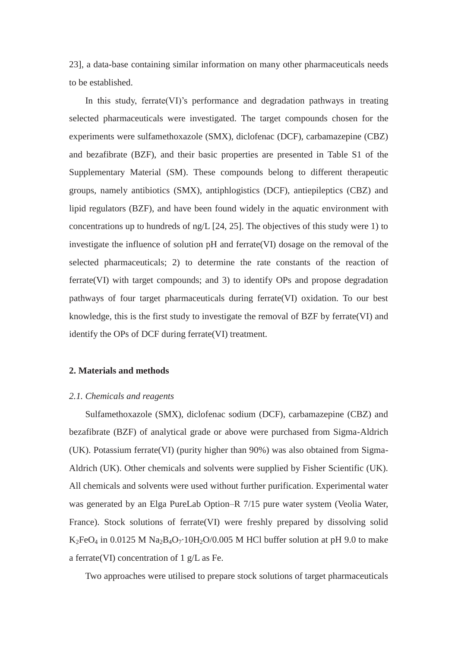23], a data-base containing similar information on many other pharmaceuticals needs to be established.

In this study, ferrate(VI)'s performance and degradation pathways in treating selected pharmaceuticals were investigated. The target compounds chosen for the experiments were sulfamethoxazole (SMX), diclofenac (DCF), carbamazepine (CBZ) and bezafibrate (BZF), and their basic properties are presented in Table S1 of the Supplementary Material (SM). These compounds belong to different therapeutic groups, namely antibiotics (SMX), antiphlogistics (DCF), antiepileptics (CBZ) and lipid regulators (BZF), and have been found widely in the aquatic environment with concentrations up to hundreds of ng/L [24, 25]. The objectives of this study were 1) to investigate the influence of solution pH and ferrate(VI) dosage on the removal of the selected pharmaceuticals; 2) to determine the rate constants of the reaction of ferrate(VI) with target compounds; and 3) to identify OPs and propose degradation pathways of four target pharmaceuticals during ferrate(VI) oxidation. To our best knowledge, this is the first study to investigate the removal of BZF by ferrate(VI) and identify the OPs of DCF during ferrate(VI) treatment.

## **2. Materials and methods**

#### *2.1. Chemicals and reagents*

Sulfamethoxazole (SMX), diclofenac sodium (DCF), carbamazepine (CBZ) and bezafibrate (BZF) of analytical grade or above were purchased from Sigma-Aldrich (UK). Potassium ferrate(VI) (purity higher than 90%) was also obtained from Sigma-Aldrich (UK). Other chemicals and solvents were supplied by Fisher Scientific (UK). All chemicals and solvents were used without further purification. Experimental water was generated by an Elga PureLab Option–R 7/15 pure water system (Veolia Water, France). Stock solutions of ferrate(VI) were freshly prepared by dissolving solid K<sub>2</sub>FeO<sub>4</sub> in 0.0125 M Na<sub>2</sub>B<sub>4</sub>O<sub>7</sub>·10H<sub>2</sub>O/0.005 M HCl buffer solution at pH 9.0 to make a ferrate(VI) concentration of 1 g/L as Fe.

Two approaches were utilised to prepare stock solutions of target pharmaceuticals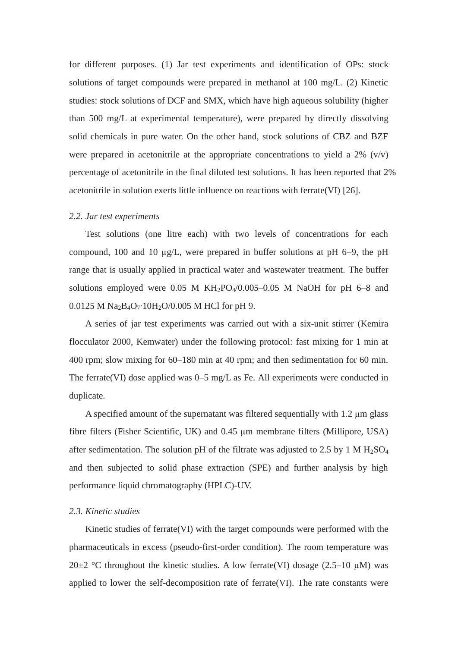for different purposes. (1) Jar test experiments and identification of OPs: stock solutions of target compounds were prepared in methanol at 100 mg/L. (2) Kinetic studies: stock solutions of DCF and SMX, which have high aqueous solubility (higher than 500 mg/L at experimental temperature), were prepared by directly dissolving solid chemicals in pure water. On the other hand, stock solutions of CBZ and BZF were prepared in acetonitrile at the appropriate concentrations to yield a  $2\%$  (v/v) percentage of acetonitrile in the final diluted test solutions. It has been reported that 2% acetonitrile in solution exerts little influence on reactions with ferrate(VI) [26].

#### *2.2. Jar test experiments*

Test solutions (one litre each) with two levels of concentrations for each compound, 100 and 10  $\mu$ g/L, were prepared in buffer solutions at pH 6–9, the pH range that is usually applied in practical water and wastewater treatment. The buffer solutions employed were 0.05 M  $KH_2PO_4/0.005-0.05$  M NaOH for pH 6–8 and 0.0125 M  $Na<sub>2</sub>B<sub>4</sub>O<sub>7</sub>$  10H<sub>2</sub>O/0.005 M HCl for pH 9.

A series of jar test experiments was carried out with a six-unit stirrer (Kemira flocculator 2000, Kemwater) under the following protocol: fast mixing for 1 min at 400 rpm; slow mixing for 60–180 min at 40 rpm; and then sedimentation for 60 min. The ferrate(VI) dose applied was 0–5 mg/L as Fe. All experiments were conducted in duplicate.

A specified amount of the supernatant was filtered sequentially with  $1.2 \mu m$  glass fibre filters (Fisher Scientific, UK) and 0.45 µm membrane filters (Millipore, USA) after sedimentation. The solution pH of the filtrate was adjusted to 2.5 by 1 M  $H_2SO_4$ and then subjected to solid phase extraction (SPE) and further analysis by high performance liquid chromatography (HPLC)-UV.

## *2.3. Kinetic studies*

Kinetic studies of ferrate(VI) with the target compounds were performed with the pharmaceuticals in excess (pseudo-first-order condition). The room temperature was  $20\pm2$  °C throughout the kinetic studies. A low ferrate(VI) dosage (2.5–10 µM) was applied to lower the self-decomposition rate of ferrate(VI). The rate constants were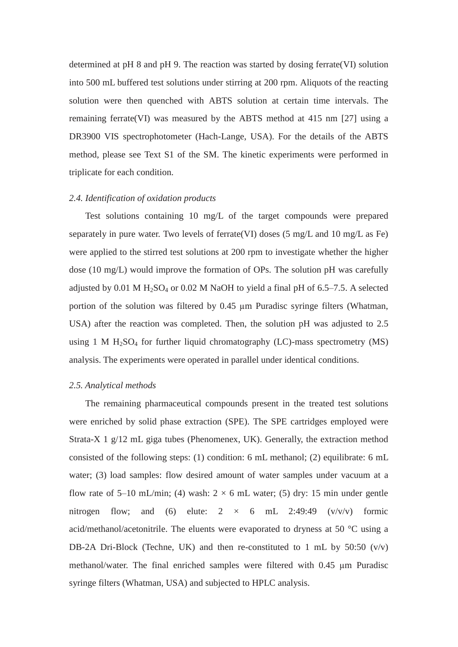determined at pH 8 and pH 9. The reaction was started by dosing ferrate(VI) solution into 500 mL buffered test solutions under stirring at 200 rpm. Aliquots of the reacting solution were then quenched with ABTS solution at certain time intervals. The remaining ferrate(VI) was measured by the ABTS method at 415 nm [27] using a DR3900 VIS spectrophotometer (Hach-Lange, USA). For the details of the ABTS method, please see Text S1 of the SM. The kinetic experiments were performed in triplicate for each condition.

#### *2.4. Identification of oxidation products*

Test solutions containing 10 mg/L of the target compounds were prepared separately in pure water. Two levels of ferrate(VI) doses (5 mg/L and 10 mg/L as Fe) were applied to the stirred test solutions at 200 rpm to investigate whether the higher dose (10 mg/L) would improve the formation of OPs. The solution pH was carefully adjusted by 0.01 M  $H<sub>2</sub>SO<sub>4</sub>$  or 0.02 M NaOH to yield a final pH of 6.5–7.5. A selected portion of the solution was filtered by 0.45 µm Puradisc syringe filters (Whatman, USA) after the reaction was completed. Then, the solution pH was adjusted to 2.5 using 1 M  $H<sub>2</sub>SO<sub>4</sub>$  for further liquid chromatography (LC)-mass spectrometry (MS) analysis. The experiments were operated in parallel under identical conditions.

#### *2.5. Analytical methods*

The remaining pharmaceutical compounds present in the treated test solutions were enriched by solid phase extraction (SPE). The SPE cartridges employed were Strata-X 1 g/12 mL giga tubes (Phenomenex, UK). Generally, the extraction method consisted of the following steps: (1) condition: 6 mL methanol; (2) equilibrate: 6 mL water; (3) load samples: flow desired amount of water samples under vacuum at a flow rate of 5–10 mL/min; (4) wash:  $2 \times 6$  mL water; (5) dry: 15 min under gentle nitrogen flow; and (6) elute:  $2 \times 6$  mL 2:49:49 (v/v/v) formic acid/methanol/acetonitrile. The eluents were evaporated to dryness at 50 °C using a DB-2A Dri-Block (Techne, UK) and then re-constituted to 1 mL by  $50:50$  (v/v) methanol/water. The final enriched samples were filtered with  $0.45 \mu m$  Puradisc syringe filters (Whatman, USA) and subjected to HPLC analysis.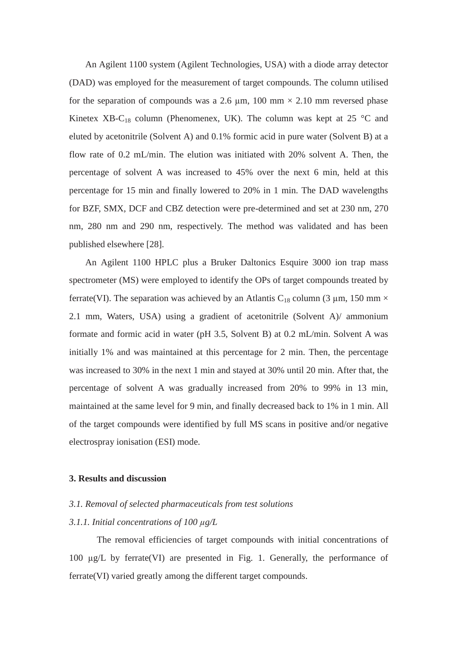An Agilent 1100 system (Agilent Technologies, USA) with a diode array detector (DAD) was employed for the measurement of target compounds. The column utilised for the separation of compounds was a 2.6  $\mu$ m, 100 mm  $\times$  2.10 mm reversed phase Kinetex XB-C<sub>18</sub> column (Phenomenex, UK). The column was kept at 25  $\degree$ C and eluted by acetonitrile (Solvent A) and 0.1% formic acid in pure water (Solvent B) at a flow rate of 0.2 mL/min. The elution was initiated with 20% solvent A. Then, the percentage of solvent A was increased to 45% over the next 6 min, held at this percentage for 15 min and finally lowered to 20% in 1 min. The DAD wavelengths for BZF, SMX, DCF and CBZ detection were pre-determined and set at 230 nm, 270 nm, 280 nm and 290 nm, respectively. The method was validated and has been published elsewhere [28].

An Agilent 1100 HPLC plus a Bruker Daltonics Esquire 3000 ion trap mass spectrometer (MS) were employed to identify the OPs of target compounds treated by ferrate(VI). The separation was achieved by an Atlantis C<sub>18</sub> column (3 µm, 150 mm  $\times$ 2.1 mm, Waters, USA) using a gradient of acetonitrile (Solvent A)/ ammonium formate and formic acid in water (pH 3.5, Solvent B) at 0.2 mL/min. Solvent A was initially 1% and was maintained at this percentage for 2 min. Then, the percentage was increased to 30% in the next 1 min and stayed at 30% until 20 min. After that, the percentage of solvent A was gradually increased from 20% to 99% in 13 min, maintained at the same level for 9 min, and finally decreased back to 1% in 1 min. All of the target compounds were identified by full MS scans in positive and/or negative electrospray ionisation (ESI) mode.

### **3. Results and discussion**

#### *3.1. Removal of selected pharmaceuticals from test solutions*

#### *3.1.1. Initial concentrations of 100 g/L*

The removal efficiencies of target compounds with initial concentrations of 100  $\mu$ g/L by ferrate(VI) are presented in Fig. 1. Generally, the performance of ferrate(VI) varied greatly among the different target compounds.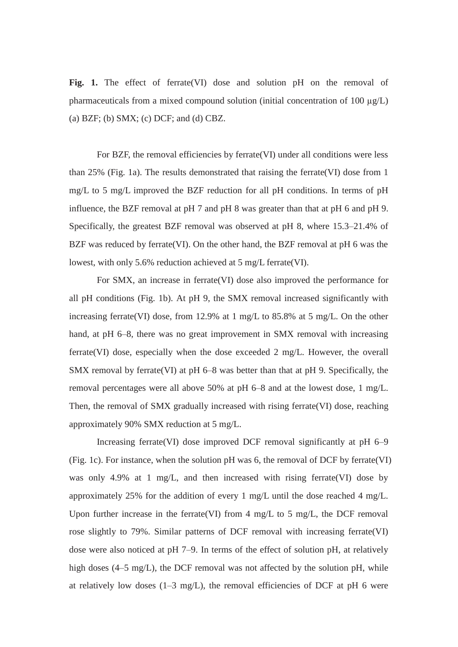Fig. 1. The effect of ferrate(VI) dose and solution pH on the removal of pharmaceuticals from a mixed compound solution (initial concentration of 100  $\mu$ g/L) (a) BZF; (b) SMX; (c) DCF; and (d) CBZ.

For BZF, the removal efficiencies by ferrate(VI) under all conditions were less than 25% (Fig. 1a). The results demonstrated that raising the ferrate(VI) dose from 1 mg/L to 5 mg/L improved the BZF reduction for all pH conditions. In terms of pH influence, the BZF removal at pH 7 and pH 8 was greater than that at pH 6 and pH 9. Specifically, the greatest BZF removal was observed at pH 8, where 15.3–21.4% of BZF was reduced by ferrate(VI). On the other hand, the BZF removal at pH 6 was the lowest, with only 5.6% reduction achieved at 5 mg/L ferrate(VI).

For SMX, an increase in ferrate(VI) dose also improved the performance for all pH conditions (Fig. 1b). At pH 9, the SMX removal increased significantly with increasing ferrate(VI) dose, from 12.9% at 1 mg/L to 85.8% at 5 mg/L. On the other hand, at pH 6–8, there was no great improvement in SMX removal with increasing ferrate(VI) dose, especially when the dose exceeded 2 mg/L. However, the overall SMX removal by ferrate(VI) at pH 6–8 was better than that at pH 9. Specifically, the removal percentages were all above 50% at pH 6–8 and at the lowest dose, 1 mg/L. Then, the removal of SMX gradually increased with rising ferrate(VI) dose, reaching approximately 90% SMX reduction at 5 mg/L.

Increasing ferrate(VI) dose improved DCF removal significantly at pH 6–9 (Fig. 1c). For instance, when the solution pH was 6, the removal of DCF by ferrate(VI) was only 4.9% at 1 mg/L, and then increased with rising ferrate(VI) dose by approximately 25% for the addition of every 1 mg/L until the dose reached 4 mg/L. Upon further increase in the ferrate(VI) from 4 mg/L to 5 mg/L, the DCF removal rose slightly to 79%. Similar patterns of DCF removal with increasing ferrate(VI) dose were also noticed at pH 7–9. In terms of the effect of solution pH, at relatively high doses (4–5 mg/L), the DCF removal was not affected by the solution pH, while at relatively low doses  $(1-3 \text{ mg/L})$ , the removal efficiencies of DCF at pH 6 were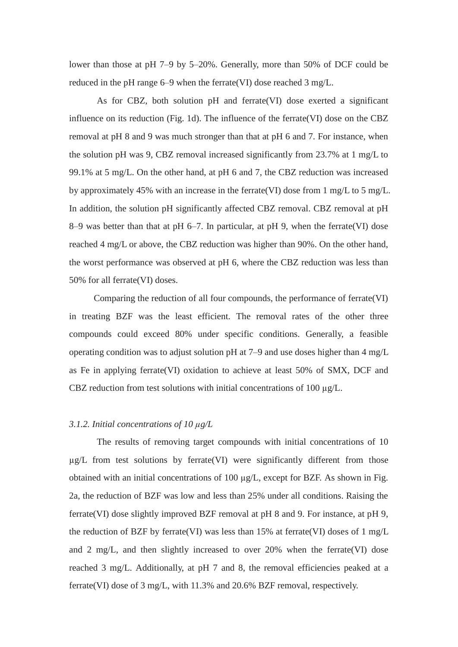lower than those at pH 7–9 by 5–20%. Generally, more than 50% of DCF could be reduced in the pH range 6–9 when the ferrate(VI) dose reached 3 mg/L.

As for CBZ, both solution pH and ferrate(VI) dose exerted a significant influence on its reduction (Fig. 1d). The influence of the ferrate(VI) dose on the CBZ removal at pH 8 and 9 was much stronger than that at pH 6 and 7. For instance, when the solution pH was 9, CBZ removal increased significantly from 23.7% at 1 mg/L to 99.1% at 5 mg/L. On the other hand, at pH 6 and 7, the CBZ reduction was increased by approximately 45% with an increase in the ferrate(VI) dose from 1 mg/L to 5 mg/L. In addition, the solution pH significantly affected CBZ removal. CBZ removal at pH 8–9 was better than that at pH 6–7. In particular, at pH 9, when the ferrate(VI) dose reached 4 mg/L or above, the CBZ reduction was higher than 90%. On the other hand, the worst performance was observed at pH 6, where the CBZ reduction was less than 50% for all ferrate(VI) doses.

 Comparing the reduction of all four compounds, the performance of ferrate(VI) in treating BZF was the least efficient. The removal rates of the other three compounds could exceed 80% under specific conditions. Generally, a feasible operating condition was to adjust solution pH at 7–9 and use doses higher than 4 mg/L as Fe in applying ferrate(VI) oxidation to achieve at least 50% of SMX, DCF and CBZ reduction from test solutions with initial concentrations of 100  $\mu$ g/L.

#### *3.1.2. Initial concentrations of 10 g/L*

The results of removing target compounds with initial concentrations of 10  $\mu$ g/L from test solutions by ferrate(VI) were significantly different from those obtained with an initial concentrations of  $100 \mu g/L$ , except for BZF. As shown in Fig. 2a, the reduction of BZF was low and less than 25% under all conditions. Raising the ferrate(VI) dose slightly improved BZF removal at pH 8 and 9. For instance, at pH 9, the reduction of BZF by ferrate(VI) was less than 15% at ferrate(VI) doses of 1 mg/L and 2 mg/L, and then slightly increased to over 20% when the ferrate(VI) dose reached 3 mg/L. Additionally, at pH 7 and 8, the removal efficiencies peaked at a ferrate(VI) dose of 3 mg/L, with 11.3% and 20.6% BZF removal, respectively.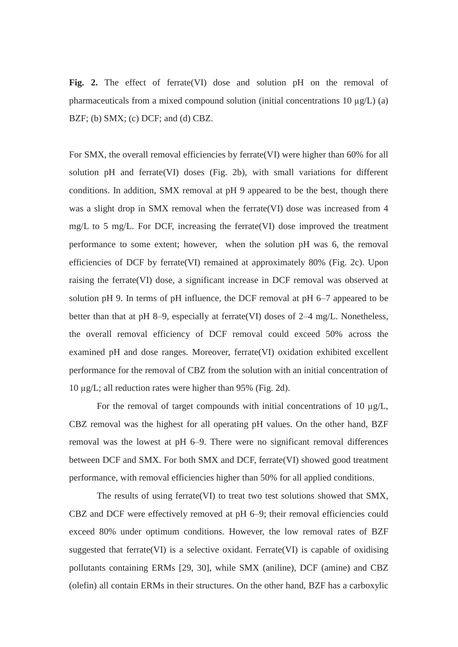**Fig. 2.** The effect of ferrate(VI) dose and solution pH on the removal of pharmaceuticals from a mixed compound solution (initial concentrations 10  $\mu$ g/L) (a) BZF; (b) SMX; (c) DCF; and (d) CBZ.

For SMX, the overall removal efficiencies by ferrate(VI) were higher than 60% for all solution pH and ferrate(VI) doses (Fig. 2b), with small variations for different conditions. In addition, SMX removal at pH 9 appeared to be the best, though there was a slight drop in SMX removal when the ferrate(VI) dose was increased from 4 mg/L to 5 mg/L. For DCF, increasing the ferrate(VI) dose improved the treatment performance to some extent; however, when the solution pH was 6, the removal efficiencies of DCF by ferrate(VI) remained at approximately 80% (Fig. 2c). Upon raising the ferrate(VI) dose, a significant increase in DCF removal was observed at solution pH 9. In terms of pH influence, the DCF removal at pH 6–7 appeared to be better than that at pH 8–9, especially at ferrate(VI) doses of 2–4 mg/L. Nonetheless, the overall removal efficiency of DCF removal could exceed 50% across the examined pH and dose ranges. Moreover, ferrate(VI) oxidation exhibited excellent performance for the removal of CBZ from the solution with an initial concentration of 10  $\mu$ g/L; all reduction rates were higher than 95% (Fig. 2d).

For the removal of target compounds with initial concentrations of 10  $\mu$ g/L, CBZ removal was the highest for all operating pH values. On the other hand, BZF removal was the lowest at pH 6–9. There were no significant removal differences between DCF and SMX. For both SMX and DCF, ferrate(VI) showed good treatment performance, with removal efficiencies higher than 50% for all applied conditions.

The results of using ferrate(VI) to treat two test solutions showed that SMX, CBZ and DCF were effectively removed at pH 6–9; their removal efficiencies could exceed 80% under optimum conditions. However, the low removal rates of BZF suggested that ferrate(VI) is a selective oxidant. Ferrate(VI) is capable of oxidising pollutants containing ERMs [29, 30], while SMX (aniline), DCF (amine) and CBZ (olefin) all contain ERMs in their structures. On the other hand, BZF has a carboxylic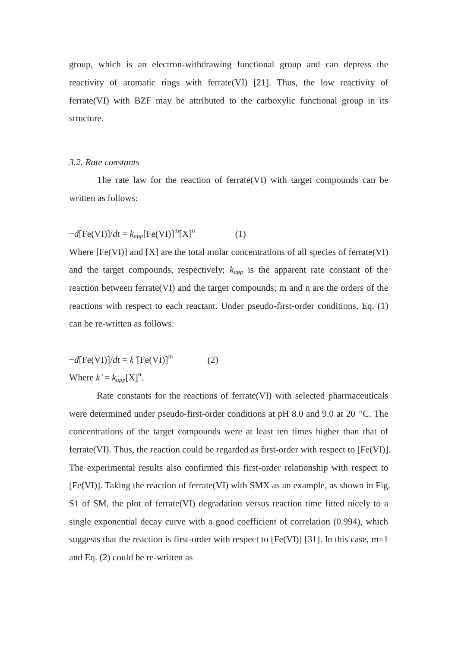group, which is an electron-withdrawing functional group and can depress the reactivity of aromatic rings with ferrate(VI) [21]. Thus, the low reactivity of ferrate(VI) with BZF may be attributed to the carboxylic functional group in its structure.

# *3.2. Rate constants*

The rate law for the reaction of ferrate(VI) with target compounds can be written as follows:

$$
-d[Fe(VI)]/dt = k_{app}[Fe(VI)]^{m}[X]^{n}
$$
 (1)

Where  $[Fe(VI)]$  and  $[X]$  are the total molar concentrations of all species of ferrate(VI) and the target compounds, respectively;  $k_{app}$  is the apparent rate constant of the reaction between ferrate(VI) and the target compounds; m and n are the orders of the reactions with respect to each reactant. Under pseudo-first-order conditions, Eq. (1) can be re-written as follows:

$$
-d[Fe(VI)]/dt = k'[Fe(VI)]m
$$
 (2)  
Where  $k' = k_{app}[X]n$ .

Rate constants for the reactions of ferrate(VI) with selected pharmaceuticals were determined under pseudo-first-order conditions at pH 8.0 and 9.0 at 20 °C. The concentrations of the target compounds were at least ten times higher than that of ferrate(VI). Thus, the reaction could be regarded as first-order with respect to [Fe(VI)]. The experimental results also confirmed this first-order relationship with respect to [Fe(VI)]. Taking the reaction of ferrate(VI) with SMX as an example, as shown in Fig. S1 of SM, the plot of ferrate(VI) degradation versus reaction time fitted nicely to a single exponential decay curve with a good coefficient of correlation (0.994), which suggests that the reaction is first-order with respect to  $[Fe(VI)]$  [31]. In this case, m=1 and Eq. (2) could be re-written as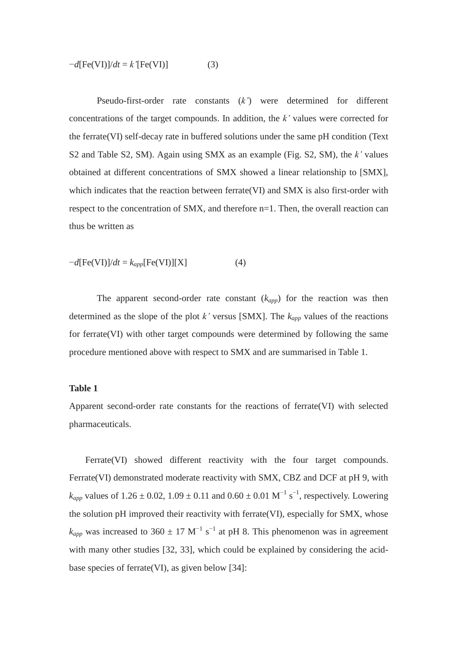$$
-d[Fe(VI)]/dt = k'[Fe(VI)]
$$
 (3)

Pseudo-first-order rate constants (*k'*) were determined for different concentrations of the target compounds. In addition, the *k'* values were corrected for the ferrate(VI) self-decay rate in buffered solutions under the same pH condition (Text S2 and Table S2, SM). Again using SMX as an example (Fig. S2, SM), the *k'* values obtained at different concentrations of SMX showed a linear relationship to [SMX], which indicates that the reaction between ferrate(VI) and SMX is also first-order with respect to the concentration of SMX, and therefore n=1. Then, the overall reaction can thus be written as

$$
-d[Fe(VI)]/dt = k_{app}[Fe(VI)][X]
$$
 (4)

The apparent second-order rate constant  $(k_{app})$  for the reaction was then determined as the slope of the plot  $k'$  versus [SMX]. The  $k_{app}$  values of the reactions for ferrate(VI) with other target compounds were determined by following the same procedure mentioned above with respect to SMX and are summarised in Table 1.

## **Table 1**

Apparent second-order rate constants for the reactions of ferrate(VI) with selected pharmaceuticals.

Ferrate(VI) showed different reactivity with the four target compounds. Ferrate(VI) demonstrated moderate reactivity with SMX, CBZ and DCF at pH 9, with  $k_{app}$  values of 1.26  $\pm$  0.02, 1.09  $\pm$  0.11 and 0.60  $\pm$  0.01 M<sup>-1</sup> s<sup>-1</sup>, respectively. Lowering the solution pH improved their reactivity with ferrate(VI), especially for SMX, whose  $k_{app}$  was increased to 360  $\pm$  17 M<sup>-1</sup> s<sup>-1</sup> at pH 8. This phenomenon was in agreement with many other studies [32, 33], which could be explained by considering the acidbase species of ferrate(VI), as given below [34]: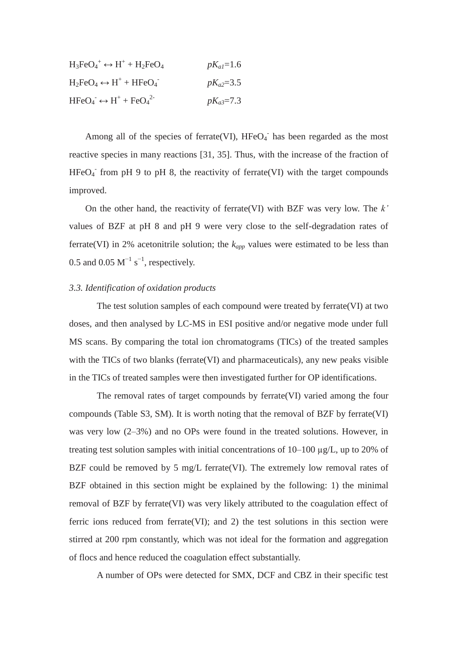| $H_3FeO_4^+ \leftrightarrow H^+ + H_2FeO_4$ | $pK_{al} = 1.6$ |
|---------------------------------------------|-----------------|
| $H_2FeO_4 \leftrightarrow H^+ + HFeO_4^-$   | $pK_{a2}=3.5$   |
| $HFeO4 \leftrightarrow H+ + FeO42-$         | $pK_{a3}=7.3$   |

Among all of the species of ferrate(VI),  $HFeO<sub>4</sub>$  has been regarded as the most reactive species in many reactions [31, 35]. Thus, with the increase of the fraction of  $HFeO<sub>4</sub>$  from pH 9 to pH 8, the reactivity of ferrate(VI) with the target compounds improved.

On the other hand, the reactivity of ferrate(VI) with BZF was very low. The *k'* values of BZF at pH 8 and pH 9 were very close to the self-degradation rates of ferrate(VI) in 2% acetonitrile solution; the  $k_{app}$  values were estimated to be less than 0.5 and 0.05  $M^{-1}$  s<sup>-1</sup>, respectively.

#### *3.3. Identification of oxidation products*

The test solution samples of each compound were treated by ferrate(VI) at two doses, and then analysed by LC-MS in ESI positive and/or negative mode under full MS scans. By comparing the total ion chromatograms (TICs) of the treated samples with the TICs of two blanks (ferrate(VI) and pharmaceuticals), any new peaks visible in the TICs of treated samples were then investigated further for OP identifications.

The removal rates of target compounds by ferrate(VI) varied among the four compounds (Table S3, SM). It is worth noting that the removal of BZF by ferrate(VI) was very low (2–3%) and no OPs were found in the treated solutions. However, in treating test solution samples with initial concentrations of  $10-100 \mu g/L$ , up to 20% of BZF could be removed by 5 mg/L ferrate(VI). The extremely low removal rates of BZF obtained in this section might be explained by the following: 1) the minimal removal of BZF by ferrate(VI) was very likely attributed to the coagulation effect of ferric ions reduced from ferrate(VI); and 2) the test solutions in this section were stirred at 200 rpm constantly, which was not ideal for the formation and aggregation of flocs and hence reduced the coagulation effect substantially.

A number of OPs were detected for SMX, DCF and CBZ in their specific test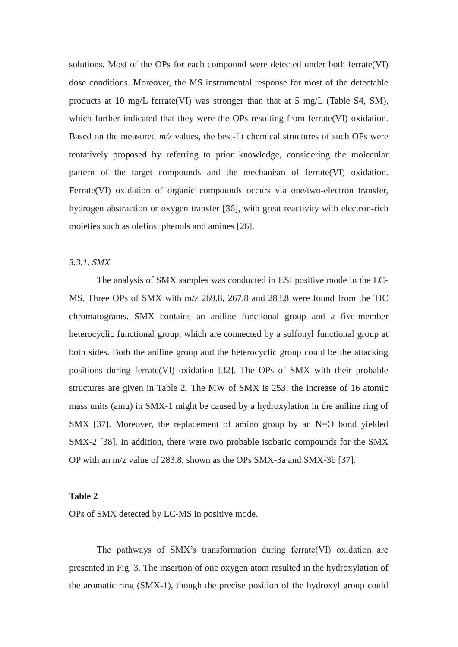solutions. Most of the OPs for each compound were detected under both ferrate(VI) dose conditions. Moreover, the MS instrumental response for most of the detectable products at 10 mg/L ferrate(VI) was stronger than that at 5 mg/L (Table S4, SM), which further indicated that they were the OPs resulting from ferrate(VI) oxidation. Based on the measured *m/z* values, the best-fit chemical structures of such OPs were tentatively proposed by referring to prior knowledge, considering the molecular pattern of the target compounds and the mechanism of ferrate(VI) oxidation. Ferrate(VI) oxidation of organic compounds occurs via one/two-electron transfer, hydrogen abstraction or oxygen transfer [36], with great reactivity with electron-rich moieties such as olefins, phenols and amines [26].

# *3.3.1. SMX*

The analysis of SMX samples was conducted in ESI positive mode in the LC-MS. Three OPs of SMX with m/z 269.8, 267.8 and 283.8 were found from the TIC chromatograms. SMX contains an aniline functional group and a five-member heterocyclic functional group, which are connected by a sulfonyl functional group at both sides. Both the aniline group and the heterocyclic group could be the attacking positions during ferrate(VI) oxidation [32]. The OPs of SMX with their probable structures are given in Table 2. The MW of SMX is 253; the increase of 16 atomic mass units (amu) in SMX-1 might be caused by a hydroxylation in the aniline ring of SMX [37]. Moreover, the replacement of amino group by an N=O bond yielded SMX-2 [38]. In addition, there were two probable isobaric compounds for the SMX OP with an m/z value of 283.8, shown as the OPs SMX-3a and SMX-3b [37].

#### **Table 2**

OPs of SMX detected by LC-MS in positive mode.

The pathways of SMX's transformation during ferrate(VI) oxidation are presented in Fig. 3. The insertion of one oxygen atom resulted in the hydroxylation of the aromatic ring (SMX-1), though the precise position of the hydroxyl group could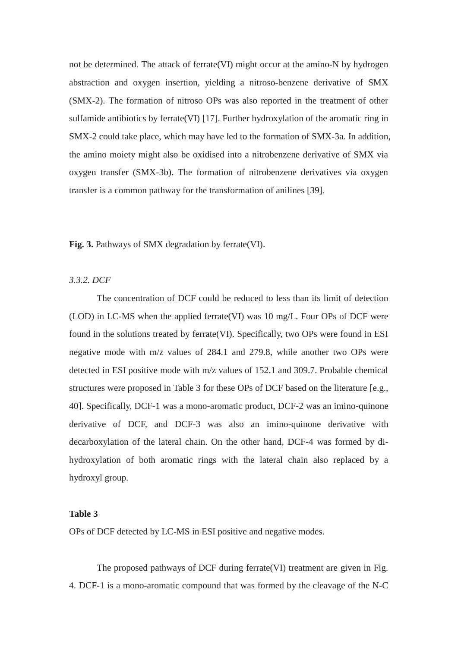not be determined. The attack of ferrate(VI) might occur at the amino-N by hydrogen abstraction and oxygen insertion, yielding a nitroso-benzene derivative of SMX (SMX-2). The formation of nitroso OPs was also reported in the treatment of other sulfamide antibiotics by ferrate(VI) [17]. Further hydroxylation of the aromatic ring in SMX-2 could take place, which may have led to the formation of SMX-3a. In addition, the amino moiety might also be oxidised into a nitrobenzene derivative of SMX via oxygen transfer (SMX-3b). The formation of nitrobenzene derivatives via oxygen transfer is a common pathway for the transformation of anilines [39].

**Fig. 3.** Pathways of SMX degradation by ferrate(VI).

# *3.3.2. DCF*

The concentration of DCF could be reduced to less than its limit of detection (LOD) in LC-MS when the applied ferrate(VI) was 10 mg/L. Four OPs of DCF were found in the solutions treated by ferrate(VI). Specifically, two OPs were found in ESI negative mode with m/z values of 284.1 and 279.8, while another two OPs were detected in ESI positive mode with m/z values of 152.1 and 309.7. Probable chemical structures were proposed in Table 3 for these OPs of DCF based on the literature [e.g., 40]. Specifically, DCF-1 was a mono-aromatic product, DCF-2 was an imino-quinone derivative of DCF, and DCF-3 was also an imino-quinone derivative with decarboxylation of the lateral chain. On the other hand, DCF-4 was formed by dihydroxylation of both aromatic rings with the lateral chain also replaced by a hydroxyl group.

## **Table 3**

OPs of DCF detected by LC-MS in ESI positive and negative modes.

The proposed pathways of DCF during ferrate(VI) treatment are given in Fig. 4. DCF-1 is a mono-aromatic compound that was formed by the cleavage of the N-C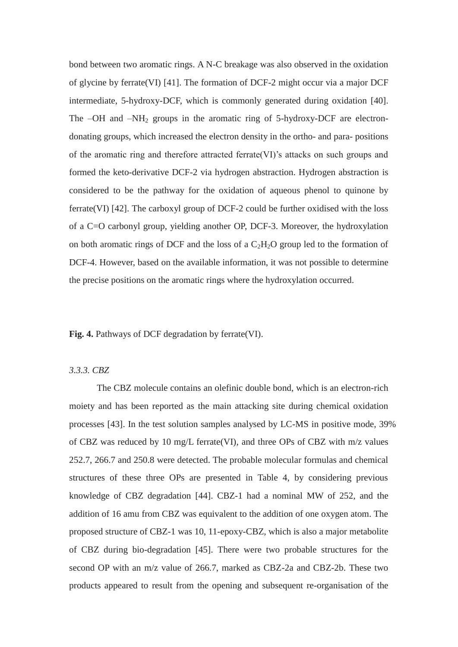bond between two aromatic rings. A N-C breakage was also observed in the oxidation of glycine by ferrate(VI) [41]. The formation of DCF-2 might occur via a major DCF intermediate, 5-hydroxy-DCF, which is commonly generated during oxidation [40]. The  $-OH$  and  $-NH<sub>2</sub>$  groups in the aromatic ring of 5-hydroxy-DCF are electrondonating groups, which increased the electron density in the ortho- and para- positions of the aromatic ring and therefore attracted ferrate(VI)'s attacks on such groups and formed the keto-derivative DCF-2 via hydrogen abstraction. Hydrogen abstraction is considered to be the pathway for the oxidation of aqueous phenol to quinone by ferrate(VI) [42]. The carboxyl group of DCF-2 could be further oxidised with the loss of a C=O carbonyl group, yielding another OP, DCF-3. Moreover, the hydroxylation on both aromatic rings of DCF and the loss of a  $C_2H_2O$  group led to the formation of DCF-4. However, based on the available information, it was not possible to determine the precise positions on the aromatic rings where the hydroxylation occurred.

**Fig. 4.** Pathways of DCF degradation by ferrate(VI).

#### *3.3.3. CBZ*

The CBZ molecule contains an olefinic double bond, which is an electron-rich moiety and has been reported as the main attacking site during chemical oxidation processes [43]. In the test solution samples analysed by LC-MS in positive mode, 39% of CBZ was reduced by 10 mg/L ferrate(VI), and three OPs of CBZ with m/z values 252.7, 266.7 and 250.8 were detected. The probable molecular formulas and chemical structures of these three OPs are presented in Table 4, by considering previous knowledge of CBZ degradation [44]. CBZ-1 had a nominal MW of 252, and the addition of 16 amu from CBZ was equivalent to the addition of one oxygen atom. The proposed structure of CBZ-1 was 10, 11-epoxy-CBZ, which is also a major metabolite of CBZ during bio-degradation [45]. There were two probable structures for the second OP with an m/z value of 266.7, marked as CBZ-2a and CBZ-2b. These two products appeared to result from the opening and subsequent re-organisation of the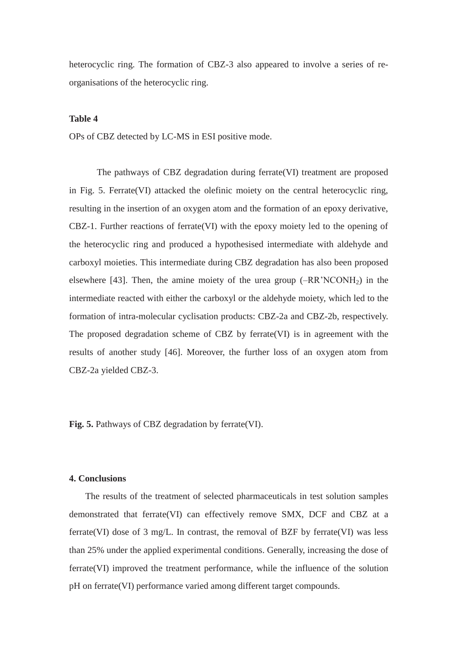heterocyclic ring. The formation of CBZ-3 also appeared to involve a series of reorganisations of the heterocyclic ring.

#### **Table 4**

OPs of CBZ detected by LC-MS in ESI positive mode.

The pathways of CBZ degradation during ferrate(VI) treatment are proposed in Fig. 5. Ferrate(VI) attacked the olefinic moiety on the central heterocyclic ring, resulting in the insertion of an oxygen atom and the formation of an epoxy derivative, CBZ-1. Further reactions of ferrate(VI) with the epoxy moiety led to the opening of the heterocyclic ring and produced a hypothesised intermediate with aldehyde and carboxyl moieties. This intermediate during CBZ degradation has also been proposed elsewhere [43]. Then, the amine moiety of the urea group  $(-RR'NCONH<sub>2</sub>)$  in the intermediate reacted with either the carboxyl or the aldehyde moiety, which led to the formation of intra-molecular cyclisation products: CBZ-2a and CBZ-2b, respectively. The proposed degradation scheme of CBZ by ferrate(VI) is in agreement with the results of another study [46]. Moreover, the further loss of an oxygen atom from CBZ-2a yielded CBZ-3.

**Fig. 5.** Pathways of CBZ degradation by ferrate(VI).

#### **4. Conclusions**

The results of the treatment of selected pharmaceuticals in test solution samples demonstrated that ferrate(VI) can effectively remove SMX, DCF and CBZ at a ferrate(VI) dose of 3 mg/L. In contrast, the removal of BZF by ferrate(VI) was less than 25% under the applied experimental conditions. Generally, increasing the dose of ferrate(VI) improved the treatment performance, while the influence of the solution pH on ferrate(VI) performance varied among different target compounds.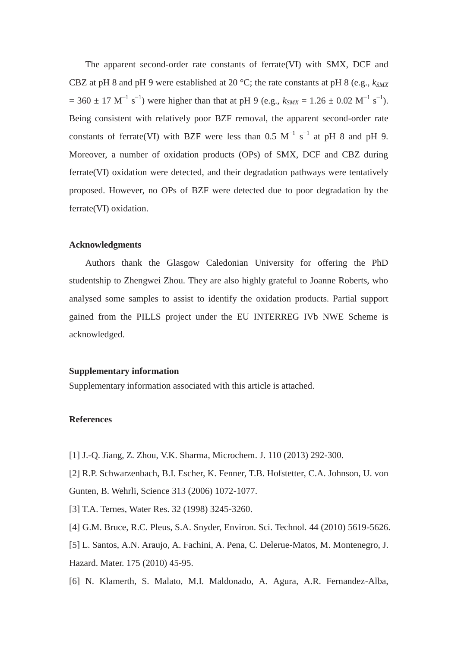The apparent second-order rate constants of ferrate(VI) with SMX, DCF and CBZ at pH 8 and pH 9 were established at 20  $^{\circ}$ C; the rate constants at pH 8 (e.g.,  $k_{SWX}$ )  $= 360 \pm 17 \text{ M}^{-1} \text{ s}^{-1}$ ) were higher than that at pH 9 (e.g.,  $k_{SMX} = 1.26 \pm 0.02 \text{ M}^{-1} \text{ s}^{-1}$ ). Being consistent with relatively poor BZF removal, the apparent second-order rate constants of ferrate(VI) with BZF were less than 0.5  $M^{-1}$  s<sup>-1</sup> at pH 8 and pH 9. Moreover, a number of oxidation products (OPs) of SMX, DCF and CBZ during ferrate(VI) oxidation were detected, and their degradation pathways were tentatively proposed. However, no OPs of BZF were detected due to poor degradation by the ferrate(VI) oxidation.

### **Acknowledgments**

Authors thank the Glasgow Caledonian University for offering the PhD studentship to Zhengwei Zhou. They are also highly grateful to Joanne Roberts, who analysed some samples to assist to identify the oxidation products. Partial support gained from the PILLS project under the EU INTERREG IVb NWE Scheme is acknowledged.

## **Supplementary information**

Supplementary information associated with this article is attached.

## **References**

[1] J.-Q. Jiang, Z. Zhou, V.K. Sharma, Microchem. J. 110 (2013) 292-300.

[2] R.P. Schwarzenbach, B.I. Escher, K. Fenner, T.B. Hofstetter, C.A. Johnson, U. von Gunten, B. Wehrli, Science 313 (2006) 1072-1077.

[3] T.A. Ternes, Water Res. 32 (1998) 3245-3260.

[4] G.M. Bruce, R.C. Pleus, S.A. Snyder, Environ. Sci. Technol. 44 (2010) 5619-5626.

[5] L. Santos, A.N. Araujo, A. Fachini, A. Pena, C. Delerue-Matos, M. Montenegro, J. Hazard. Mater. 175 (2010) 45-95.

[6] N. Klamerth, S. Malato, M.I. Maldonado, A. Agura, A.R. Fernandez-Alba,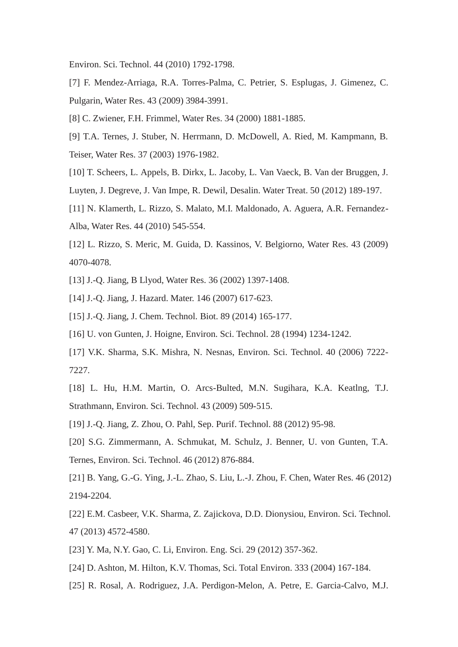Environ. Sci. Technol. 44 (2010) 1792-1798.

[7] F. Mendez-Arriaga, R.A. Torres-Palma, C. Petrier, S. Esplugas, J. Gimenez, C. Pulgarin, Water Res. 43 (2009) 3984-3991.

[8] C. Zwiener, F.H. Frimmel, Water Res. 34 (2000) 1881-1885.

[9] T.A. Ternes, J. Stuber, N. Herrmann, D. McDowell, A. Ried, M. Kampmann, B. Teiser, Water Res. 37 (2003) 1976-1982.

[10] T. Scheers, L. Appels, B. Dirkx, L. Jacoby, L. Van Vaeck, B. Van der Bruggen, J. Luyten, J. Degreve, J. Van Impe, R. Dewil, Desalin. Water Treat. 50 (2012) 189-197.

[11] N. Klamerth, L. Rizzo, S. Malato, M.I. Maldonado, A. Aguera, A.R. Fernandez-Alba, Water Res. 44 (2010) 545-554.

[12] L. Rizzo, S. Meric, M. Guida, D. Kassinos, V. Belgiorno, Water Res. 43 (2009) 4070-4078.

[13] J.-Q. Jiang, B Llyod, Water Res. 36 (2002) 1397-1408.

[14] J.-Q. Jiang, J. Hazard. Mater. 146 (2007) 617-623.

[15] J.-Q. Jiang, J. Chem. Technol. Biot. 89 (2014) 165-177.

[16] U. von Gunten, J. Hoigne, Environ. Sci. Technol. 28 (1994) 1234-1242.

[17] V.K. Sharma, S.K. Mishra, N. Nesnas, Environ. Sci. Technol. 40 (2006) 7222- 7227.

[18] L. Hu, H.M. Martin, O. Arcs-Bulted, M.N. Sugihara, K.A. Keatlng, T.J. Strathmann, Environ. Sci. Technol. 43 (2009) 509-515.

[19] J.-Q. Jiang, Z. Zhou, O. Pahl, Sep. Purif. Technol. 88 (2012) 95-98.

[20] S.G. Zimmermann, A. Schmukat, M. Schulz, J. Benner, U. von Gunten, T.A. Ternes, Environ. Sci. Technol. 46 (2012) 876-884.

[21] B. Yang, G.-G. Ying, J.-L. Zhao, S. Liu, L.-J. Zhou, F. Chen, Water Res. 46 (2012) 2194-2204.

[22] E.M. Casbeer, V.K. Sharma, Z. Zajickova, D.D. Dionysiou, Environ. Sci. Technol. 47 (2013) 4572-4580.

[23] Y. Ma, N.Y. Gao, C. Li, Environ. Eng. Sci. 29 (2012) 357-362.

- [24] D. Ashton, M. Hilton, K.V. Thomas, Sci. Total Environ. 333 (2004) 167-184.
- [25] R. Rosal, A. Rodriguez, J.A. Perdigon-Melon, A. Petre, E. Garcia-Calvo, M.J.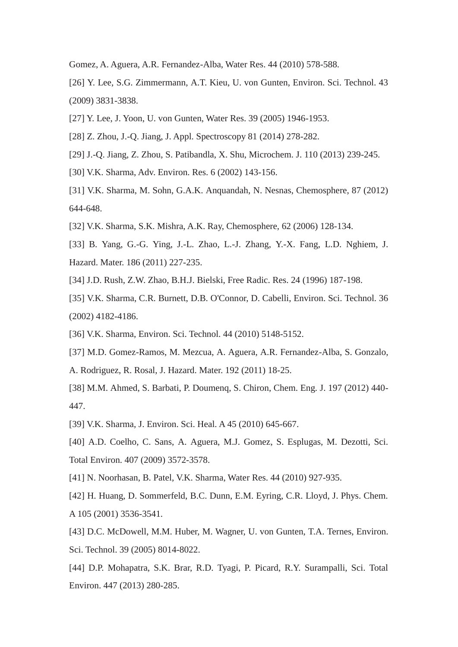Gomez, A. Aguera, A.R. Fernandez-Alba, Water Res. 44 (2010) 578-588.

[26] Y. Lee, S.G. Zimmermann, A.T. Kieu, U. von Gunten, Environ. Sci. Technol. 43 (2009) 3831-3838.

- [27] Y. Lee, J. Yoon, U. von Gunten, Water Res. 39 (2005) 1946-1953.
- [28] Z. Zhou, J.-Q. Jiang, J. Appl. Spectroscopy 81 (2014) 278-282.
- [29] J.-Q. Jiang, Z. Zhou, S. Patibandla, X. Shu, Microchem. J. 110 (2013) 239-245.
- [30] V.K. Sharma, Adv. Environ. Res. 6 (2002) 143-156.
- [31] V.K. Sharma, M. Sohn, G.A.K. Anquandah, N. Nesnas, Chemosphere, 87 (2012) 644-648.
- [32] V.K. Sharma, S.K. Mishra, A.K. Ray, Chemosphere, 62 (2006) 128-134.
- [33] B. Yang, G.-G. Ying, J.-L. Zhao, L.-J. Zhang, Y.-X. Fang, L.D. Nghiem, J. Hazard. Mater. 186 (2011) 227-235.
- [34] J.D. Rush, Z.W. Zhao, B.H.J. Bielski, Free Radic. Res. 24 (1996) 187-198.
- [35] V.K. Sharma, C.R. Burnett, D.B. O'Connor, D. Cabelli, Environ. Sci. Technol. 36 (2002) 4182-4186.
- [36] V.K. Sharma, Environ. Sci. Technol. 44 (2010) 5148-5152.
- [37] M.D. Gomez-Ramos, M. Mezcua, A. Aguera, A.R. Fernandez-Alba, S. Gonzalo,
- A. Rodriguez, R. Rosal, J. Hazard. Mater. 192 (2011) 18-25.
- [38] M.M. Ahmed, S. Barbati, P. Doumenq, S. Chiron, Chem. Eng. J. 197 (2012) 440- 447.
- [39] V.K. Sharma, J. Environ. Sci. Heal. A 45 (2010) 645-667.
- [40] A.D. Coelho, C. Sans, A. Aguera, M.J. Gomez, S. Esplugas, M. Dezotti, Sci. Total Environ. 407 (2009) 3572-3578.
- [41] N. Noorhasan, B. Patel, V.K. Sharma, Water Res. 44 (2010) 927-935.

[42] H. Huang, D. Sommerfeld, B.C. Dunn, E.M. Eyring, C.R. Lloyd, J. Phys. Chem. A 105 (2001) 3536-3541.

[43] D.C. McDowell, M.M. Huber, M. Wagner, U. von Gunten, T.A. Ternes, Environ. Sci. Technol. 39 (2005) 8014-8022.

[44] D.P. Mohapatra, S.K. Brar, R.D. Tyagi, P. Picard, R.Y. Surampalli, Sci. Total Environ. 447 (2013) 280-285.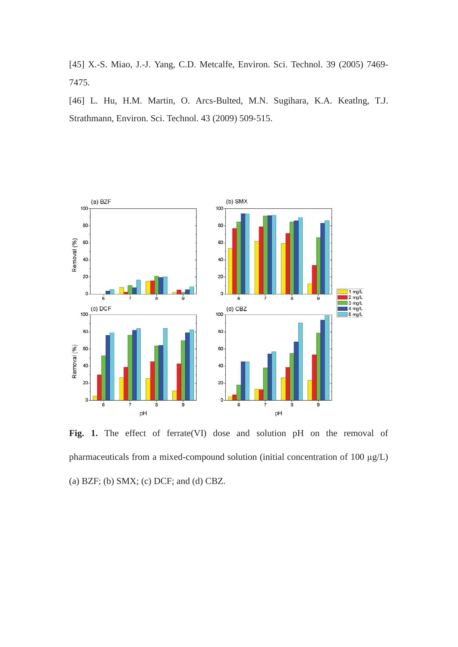[45] X.-S. Miao, J.-J. Yang, C.D. Metcalfe, Environ. Sci. Technol. 39 (2005) 7469- 7475.

[46] L. Hu, H.M. Martin, O. Arcs-Bulted, M.N. Sugihara, K.A. Keatlng, T.J. Strathmann, Environ. Sci. Technol. 43 (2009) 509-515.



**Fig. 1.** The effect of ferrate(VI) dose and solution pH on the removal of pharmaceuticals from a mixed-compound solution (initial concentration of 100  $\mu$ g/L) (a) BZF; (b) SMX; (c) DCF; and (d) CBZ.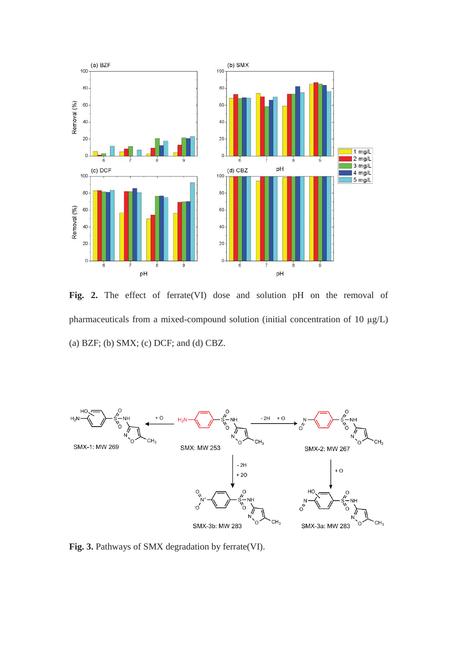

**Fig. 2.** The effect of ferrate(VI) dose and solution pH on the removal of pharmaceuticals from a mixed-compound solution (initial concentration of 10  $\mu$ g/L) (a) BZF; (b) SMX; (c) DCF; and (d) CBZ.



**Fig. 3.** Pathways of SMX degradation by ferrate(VI).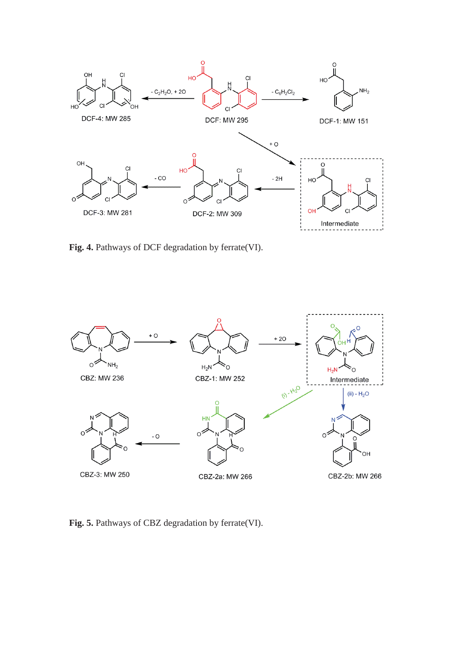

**Fig. 4.** Pathways of DCF degradation by ferrate(VI).



Fig. 5. Pathways of CBZ degradation by ferrate(VI).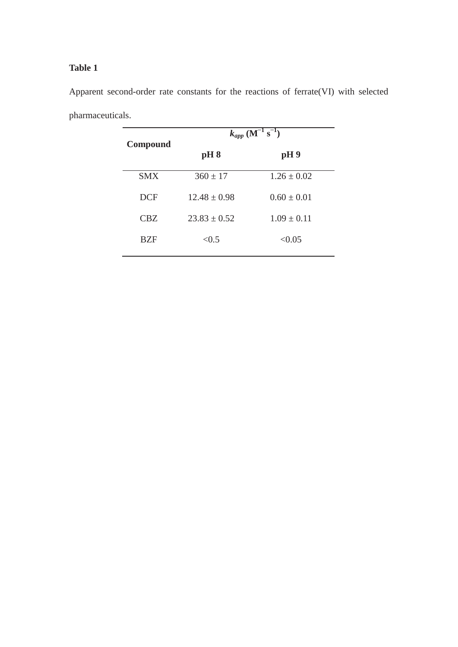| $k_{app}$ (M <sup>-1</sup> s <sup>-1</sup> ) |                 |  |
|----------------------------------------------|-----------------|--|
| pH 8                                         | pH9             |  |
| $360 \pm 17$                                 | $1.26 \pm 0.02$ |  |
| $12.48 \pm 0.98$                             | $0.60 \pm 0.01$ |  |
| $23.83 \pm 0.52$                             | $1.09 \pm 0.11$ |  |
| < 0.5                                        | < 0.05          |  |
|                                              |                 |  |

Apparent second-order rate constants for the reactions of ferrate(VI) with selected pharmaceuticals.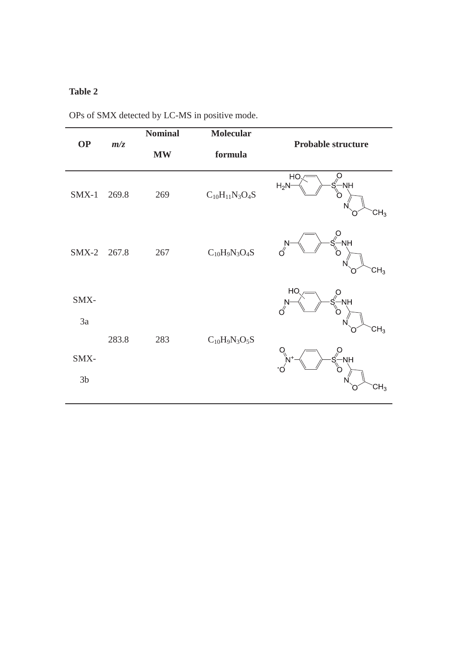|                |                  | <b>Nominal</b> | <b>Molecular</b>      |                                                                 |
|----------------|------------------|----------------|-----------------------|-----------------------------------------------------------------|
| <b>OP</b>      | m/z<br><b>MW</b> |                | formula               | <b>Probable structure</b>                                       |
| $SMX-1$        | 269.8            | 269            | $C_{10}H_{11}N_3O_4S$ | HO<br>NH<br>$H_2N$<br>CH <sub>3</sub>                           |
| $SMX-2$        | 267.8            | 267            | $C_{10}H_9N_3O_4S$    | $S^{\circ}$<br>-NH<br>$\sigma$ <sup>N-</sup><br>CH <sub>3</sub> |
| SMX-           |                  |                |                       | HC<br>$\vec{\mathcal{S}}$<br>NH-<br>$\sigma$ <sup>N-</sup>      |
| 3a             |                  |                |                       | CH <sub>3</sub>                                                 |
|                | 283.8            | 283            | $C_{10}H_9N_3O_5S$    |                                                                 |
| SMX-           |                  |                |                       | NH-                                                             |
| 3 <sub>b</sub> |                  |                |                       | $CH_3$                                                          |

OPs of SMX detected by LC-MS in positive mode.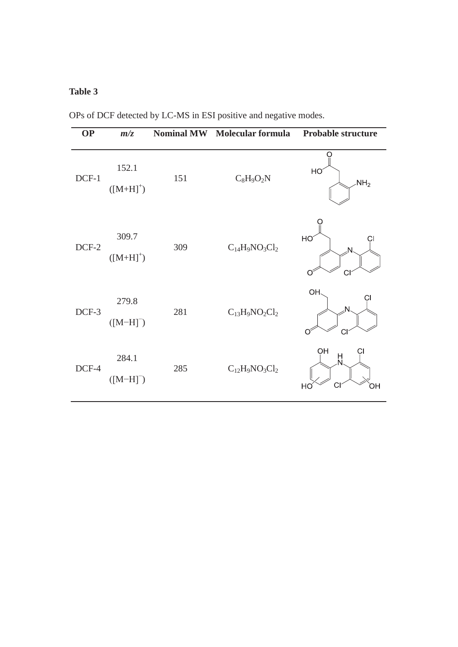| <b>OP</b> | m/z                    | <b>Nominal MW</b> | <b>Molecular formula</b> | <b>Probable structure</b> |
|-----------|------------------------|-------------------|--------------------------|---------------------------|
| DCF-1     | 152.1<br>$([M+H]^+)$   | 151               | $C_8H_9O_2N$             | HO<br>NH <sub>2</sub>     |
| DCF-2     | 309.7<br>$([M+H]^+)$   | 309               | $C_{14}H_9NO_3Cl_2$      | HO<br>N<br>CI             |
| DCF-3     | 279.8<br>$([M-H]^-)$   | 281               | $C_{13}H_9NO_2Cl_2$      | OH<br>N<br>CI             |
| DCF-4     | 284.1<br>$([M-H]^{-})$ | 285               | $C_{12}H_9NO_3Cl_2$      | OH<br>H<br>N.<br>OН<br>HC |

OPs of DCF detected by LC-MS in ESI positive and negative modes.